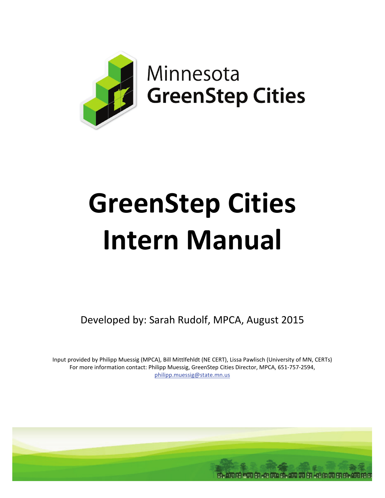

# **GreenStep Cities Intern Manual**

Developed by: Sarah Rudolf, MPCA, August 2015

Input provided by Philipp Muessig (MPCA), Bill Mittlfehldt (NE CERT), Lissa Pawlisch (University of MN, CERTs) For more information contact: Philipp Muessig, GreenStep Cities Director, MPCA, 651-757-2594, [philipp.muessig@state.mn.us](mailto:philipp.muessig@state.mn.us) 

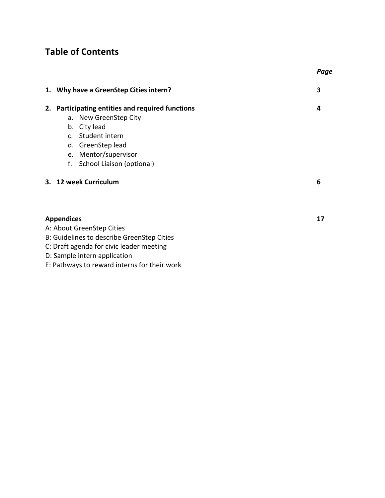# **Table of Contents**

|    |                                               | Page |
|----|-----------------------------------------------|------|
|    | 1. Why have a GreenStep Cities intern?        | 3    |
| 2. | Participating entities and required functions | 4    |
|    | a. New GreenStep City                         |      |
|    | b. City lead                                  |      |
|    | c. Student intern                             |      |
|    | d. GreenStep lead                             |      |
|    | e. Mentor/supervisor                          |      |
|    | f.<br>School Liaison (optional)               |      |
|    | 3. 12 week Curriculum                         | 6    |
|    | <b>Appendices</b>                             | 17   |
|    | A: About GreenStep Cities                     |      |
|    | B: Guidelines to describe GreenStep Cities    |      |

- [C: Draft agenda for civic leader meeting](#page-19-0)
- [D: Sample intern application](#page-20-0)
- [E: Pathways to reward interns for their work](#page-21-0)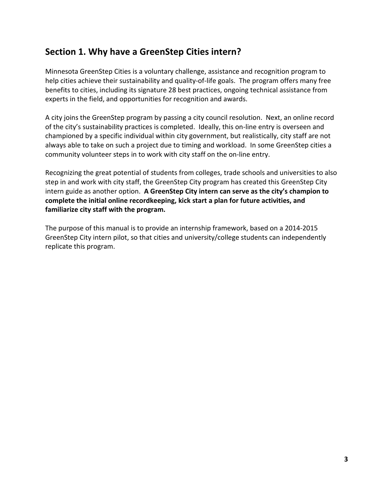# <span id="page-2-0"></span>**Section 1. Why have a GreenStep Cities intern?**

Minnesota GreenStep Cities is a voluntary challenge, assistance and recognition program to help cities achieve their sustainability and quality-of-life goals. The program offers many free benefits to cities, including its signature 28 best practices, ongoing technical assistance from experts in the field, and opportunities for recognition and awards.

A city joins the GreenStep program by passing a city council resolution. Next, an online record of the city's sustainability practices is completed. Ideally, this on-line entry is overseen and championed by a specific individual within city government, but realistically, city staff are not always able to take on such a project due to timing and workload. In some GreenStep cities a community volunteer steps in to work with city staff on the on-line entry.

Recognizing the great potential of students from colleges, trade schools and universities to also step in and work with city staff, the GreenStep City program has created this GreenStep City intern guide as another option. **A GreenStep City intern can serve as the city's champion to complete the initial online recordkeeping, kick start a plan for future activities, and familiarize city staff with the program.** 

The purpose of this manual is to provide an internship framework, based on a 2014-2015 GreenStep City intern pilot, so that cities and university/college students can independently replicate this program.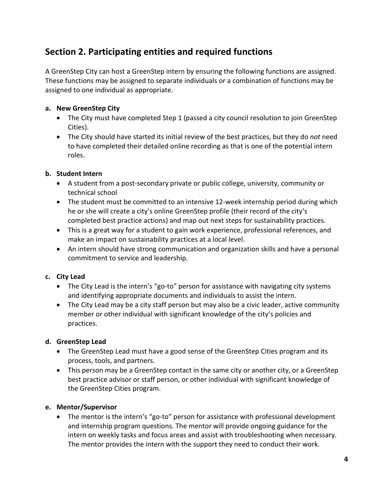# <span id="page-3-0"></span>**Section 2. Participating entities and required functions**

A GreenStep City can host a GreenStep intern by ensuring the following functions are assigned. These functions may be assigned to separate individuals or a combination of functions may be assigned to one individual as appropriate.

## **a. New GreenStep City**

- The City must have completed Step 1 (passed a city council resolution to join GreenStep Cities).
- The City should have started its initial review of the best practices, but they do *not* need to have completed their detailed online recording as that is one of the potential intern roles.

## **b. Student Intern**

- A student from a post-secondary private or public college, university, community or technical school
- The student must be committed to an intensive 12-week internship period during which he or she will create a city's online GreenStep profile (their record of the city's completed best practice actions) and map out next steps for sustainability practices.
- This is a great way for a student to gain work experience, professional references, and make an impact on sustainability practices at a local level.
- An intern should have strong communication and organization skills and have a personal commitment to service and leadership.

## **c. City Lead**

- The City Lead is the intern's "go-to" person for assistance with navigating city systems and identifying appropriate documents and individuals to assist the intern.
- The City Lead may be a city staff person but may also be a civic leader, active community member or other individual with significant knowledge of the city's policies and practices.

## **d. GreenStep Lead**

- The GreenStep Lead must have a good sense of the GreenStep Cities program and its process, tools, and partners.
- This person may be a GreenStep contact in the same city or another city, or a GreenStep best practice advisor or staff person, or other individual with significant knowledge of the GreenStep Cities program.

## **e. Mentor/Supervisor**

• The mentor is the intern's "go-to" person for assistance with professional development and internship program questions. The mentor will provide ongoing guidance for the intern on weekly tasks and focus areas and assist with troubleshooting when necessary. The mentor provides the intern with the support they need to conduct their work.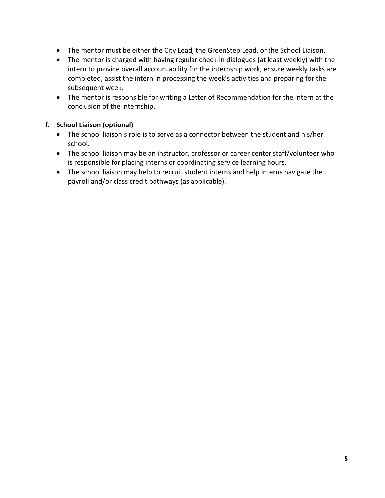- The mentor must be either the City Lead, the GreenStep Lead, or the School Liaison.
- The mentor is charged with having regular check-in dialogues (at least weekly) with the intern to provide overall accountability for the internship work, ensure weekly tasks are completed, assist the intern in processing the week's activities and preparing for the subsequent week.
- The mentor is responsible for writing a Letter of Recommendation for the intern at the conclusion of the internship.

## **f. School Liaison (optional)**

- The school liaison's role is to serve as a connector between the student and his/her school.
- The school liaison may be an instructor, professor or career center staff/volunteer who is responsible for placing interns or coordinating service learning hours.
- The school liaison may help to recruit student interns and help interns navigate the payroll and/or class credit pathways (as applicable).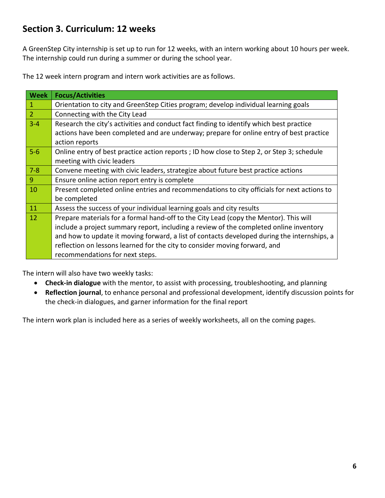# <span id="page-5-0"></span>**Section 3. Curriculum: 12 weeks**

A GreenStep City internship is set up to run for 12 weeks, with an intern working about 10 hours per week. The internship could run during a summer or during the school year.

The 12 week intern program and intern work activities are as follows.

| <b>Week</b>    | <b>Focus/Activities</b>                                                                     |  |
|----------------|---------------------------------------------------------------------------------------------|--|
| $\mathbf{1}$   | Orientation to city and GreenStep Cities program; develop individual learning goals         |  |
| $\overline{2}$ | Connecting with the City Lead                                                               |  |
| $3 - 4$        | Research the city's activities and conduct fact finding to identify which best practice     |  |
|                | actions have been completed and are underway; prepare for online entry of best practice     |  |
|                | action reports                                                                              |  |
| $5-6$          | Online entry of best practice action reports; ID how close to Step 2, or Step 3; schedule   |  |
|                | meeting with civic leaders                                                                  |  |
| $7 - 8$        | Convene meeting with civic leaders, strategize about future best practice actions           |  |
| $\overline{9}$ | Ensure online action report entry is complete                                               |  |
| 10             | Present completed online entries and recommendations to city officials for next actions to  |  |
|                | be completed                                                                                |  |
| 11             | Assess the success of your individual learning goals and city results                       |  |
| 12             | Prepare materials for a formal hand-off to the City Lead (copy the Mentor). This will       |  |
|                | include a project summary report, including a review of the completed online inventory      |  |
|                | and how to update it moving forward, a list of contacts developed during the internships, a |  |
|                | reflection on lessons learned for the city to consider moving forward, and                  |  |
|                | recommendations for next steps.                                                             |  |

The intern will also have two weekly tasks:

- **Check-in dialogue** with the mentor, to assist with processing, troubleshooting, and planning
- **Reflection journal**, to enhance personal and professional development, identify discussion points for the check-in dialogues, and garner information for the final report

The intern work plan is included here as a series of weekly worksheets, all on the coming pages.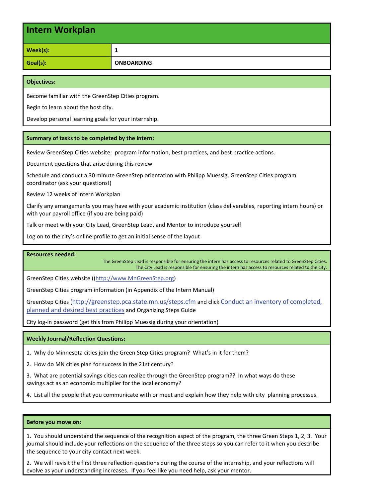| <b>Intern Workplan</b> |                   |
|------------------------|-------------------|
| Week(s):               | 1                 |
| Goal(s):               | <b>ONBOARDING</b> |

Become familiar with the GreenStep Cities program.

Begin to learn about the host city.

Develop personal learning goals for your internship.

#### **Summary of tasks to be completed by the intern:**

Review GreenStep Cities website: program information, best practices, and best practice actions.

Document questions that arise during this review.

Schedule and conduct a 30 minute GreenStep orientation with Philipp Muessig, GreenStep Cities program coordinator (ask your questions!)

Review 12 weeks of Intern Workplan

Clarify any arrangements you may have with your academic institution (class deliverables, reporting intern hours) or with your payroll office (if you are being paid)

Talk or meet with your City Lead, GreenStep Lead, and Mentor to introduce yourself

Log on to the city's online profile to get an initial sense of the layout

**Resources needed:**

The GreenStep Lead is responsible for ensuring the intern has access to resources related to GreenStep Cities. The City Lead is responsible for ensuring the intern has access to resources related to the city.

GreenStep Cities website ([\(http://www.MnGreenStep.org\)](http://www.mngreenstep.org/)

GreenStep Cities program information (in Appendix of the Intern Manual)

GreenStep Cities [\(http://greenstep.pca.state.mn.us/steps.cfm](http://greenstep.pca.state.mn.us/steps.cfm) and click [Conduct an inventory of completed,](http://www.pca.state.mn.us/index.php/view-document.html?gid=17016)  [planned and desired best practices](http://www.pca.state.mn.us/index.php/view-document.html?gid=17016) and Organizing Steps Guide

City log-in password (get this from Philipp Muessig during your orientation)

#### **Weekly Journal/Reflection Questions:**

1. Why do Minnesota cities join the Green Step Cities program? What's in it for them?

2. How do MN cities plan for success in the 21st century?

3. What are potential savings cities can realize through the GreenStep program?? In what ways do these savings act as an economic multiplier for the local economy?

4. List all the people that you communicate with or meet and explain how they help with city planning processes.

#### **Before you move on:**

1. You should understand the sequence of the recognition aspect of the program, the three Green Steps 1, 2, 3. Your journal should include your reflections on the sequence of the three steps so you can refer to it when you describe the sequence to your city contact next week.

2. We will revisit the first three reflection questions during the course of the internship, and your reflections will evolve as your understanding increases. If you feel like you need help, ask your mentor.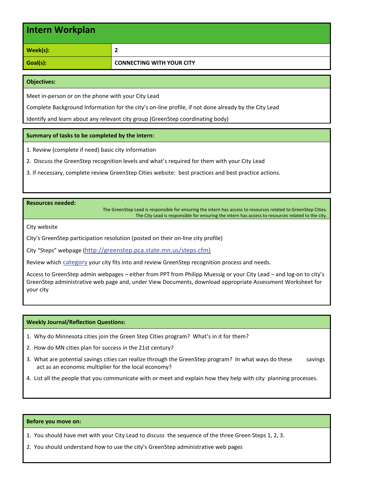| Intern Workplan |                                  |
|-----------------|----------------------------------|
| Week(s):        | 2                                |
| Goal(s):        | <b>CONNECTING WITH YOUR CITY</b> |

Meet in-person or on the phone with your City Lead

Complete Background Information for the city's on-line profile, if not done already by the City Lead

Identify and learn about any relevant city group (GreenStep coordinating body)

#### **Summary of tasks to be completed by the intern:**

1. Review (complete if need) basic city information

- 2. Discuss the GreenStep recognition levels and what's required for them with your City Lead
- 3. If necessary, complete review GreenStep Cities website: best practices and best practice actions.

#### **Resources needed:**

The GreenStep Lead is responsible for ensuring the intern has access to resources related to GreenStep Cities. The City Lead is responsible for ensuring the intern has access to resources related to the city.

City website

City's GreenStep participation resolution (posted on their on-line city profile)

City "Steps" webpage [\(http://greenstep.pca.state.mn.us/steps.cfm\)](http://greenstep.pca.state.mn.us/steps.cfm)

Review which [category](http://www.pca.state.mn.us/index.php/view-document.html?gid=17010) your city fits into and review GreenStep recognition process and needs.

Access to GreenStep admin webpages – either from PPT from Philipp Muessig or your City Lead – and log-on to city's GreenStep administrative web page and, under View Documents, download appropriate Assessment Worksheet for your city

#### **Weekly Journal/Reflection Questions:**

- 1. Why do Minnesota cities join the Green Step Cities program? What's in it for them?
- 2. How do MN cities plan for success in the 21st century?
- 3. What are potential savings cities can realize through the GreenStep program? In what ways do these savings act as an economic multiplier for the local economy?
- 4. List all the people that you communicate with or meet and explain how they help with city planning processes.

#### **Before you move on:**

- 1. You should have met with your City Lead to discuss the sequence of the three Green Steps 1, 2, 3.
- 2. You should understand how to use the city's GreenStep administrative web pages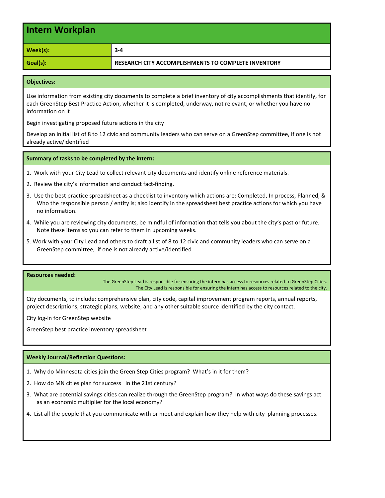| Intern Workplan |                                                     |
|-----------------|-----------------------------------------------------|
| Week(s):        | $3-4$                                               |
| Goal(s):        | RESEARCH CITY ACCOMPLISHMENTS TO COMPLETE INVENTORY |

Use information from existing city documents to complete a brief inventory of city accomplishments that identify, for each GreenStep Best Practice Action, whether it is completed, underway, not relevant, or whether you have no information on it

Begin investigating proposed future actions in the city

Develop an initial list of 8 to 12 civic and community leaders who can serve on a GreenStep committee, if one is not already active/identified

#### **Summary of tasks to be completed by the intern:**

- 1. Work with your City Lead to collect relevant city documents and identify online reference materials.
- 2. Review the city's information and conduct fact-finding.
- 3. Use the best practice spreadsheet as a checklist to inventory which actions are: Completed, In process, Planned, & Who the responsible person / entity is; also identify in the spreadsheet best practice actions for which you have no information.
- 4. While you are reviewing city documents, be mindful of information that tells you about the city's past or future. Note these items so you can refer to them in upcoming weeks.
- 5. Work with your City Lead and others to draft a list of 8 to 12 civic and community leaders who can serve on a GreenStep committee, if one is not already active/identified

#### **Resources needed:**

The GreenStep Lead is responsible for ensuring the intern has access to resources related to GreenStep Cities. The City Lead is responsible for ensuring the intern has access to resources related to the city.

City documents, to include: comprehensive plan, city code, capital improvement program reports, annual reports, project descriptions, strategic plans, website, and any other suitable source identified by the city contact.

City log-in for GreenStep website

GreenStep best practice inventory spreadsheet

#### **Weekly Journal/Reflection Questions:**

- 1. Why do Minnesota cities join the Green Step Cities program? What's in it for them?
- 2. How do MN cities plan for success in the 21st century?
- 3. What are potential savings cities can realize through the GreenStep program? In what ways do these savings act as an economic multiplier for the local economy?
- 4. List all the people that you communicate with or meet and explain how they help with city planning processes.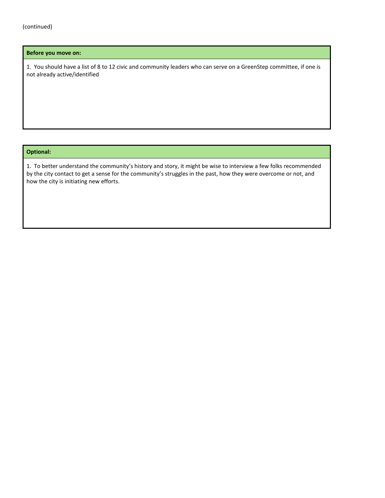#### **Before you move on:**

1. You should have a list of 8 to 12 civic and community leaders who can serve on a GreenStep committee, if one is not already active/identified

#### **Optional:**

1. To better understand the community's history and story, it might be wise to interview a few folks recommended by the city contact to get a sense for the community's struggles in the past, how they were overcome or not, and how the city is initiating new efforts.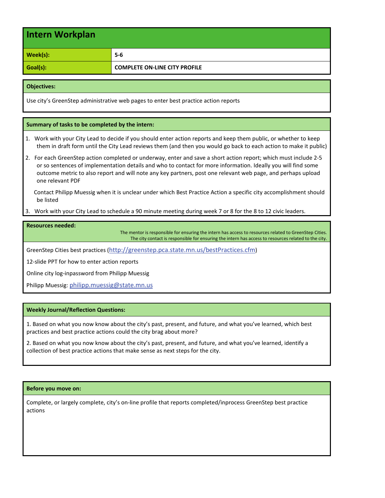| Intern Workplan |                                      |
|-----------------|--------------------------------------|
| Week(s):        | $5 - 6$                              |
| Goal(s):        | <b>COMPLETE ON-LINE CITY PROFILE</b> |

Use city's GreenStep administrative web pages to enter best practice action reports

#### **Summary of tasks to be completed by the intern:**

1. Work with your City Lead to decide if you should enter action reports and keep them public, or whether to keep them in draft form until the City Lead reviews them (and then you would go back to each action to make it public)

2. For each GreenStep action completed or underway, enter and save a short action report; which must include 2-5 or so sentences of implementation details and who to contact for more information. Ideally you will find some outcome metric to also report and will note any key partners, post one relevant web page, and perhaps upload one relevant PDF

 Contact Philipp Muessig when it is unclear under which Best Practice Action a specific city accomplishment should be listed

3. Work with your City Lead to schedule a 90 minute meeting during week 7 or 8 for the 8 to 12 civic leaders.

#### **Resources needed:**

The mentor is responsible for ensuring the intern has access to resources related to GreenStep Cities. The city contact is responsible for ensuring the intern has access to resources related to the city.

GreenStep Cities best practices [\(http://greenstep.pca.state.mn.us/bestPractices.cfm\)](http://greenstep.pca.state.mn.us/bestPractices.cfm)

12-slide PPT for how to enter action reports

Online city log-inpassword from Philipp Muessig

Philipp Muessig: [philipp.muessig@state.mn.us](mailto:philipp.muessig@state.mn.us) 

#### **Weekly Journal/Reflection Questions:**

1. Based on what you now know about the city's past, present, and future, and what you've learned, which best practices and best practice actions could the city brag about more?

2. Based on what you now know about the city's past, present, and future, and what you've learned, identify a collection of best practice actions that make sense as next steps for the city.

#### **Before you move on:**

Complete, or largely complete, city's on-line profile that reports completed/inprocess GreenStep best practice actions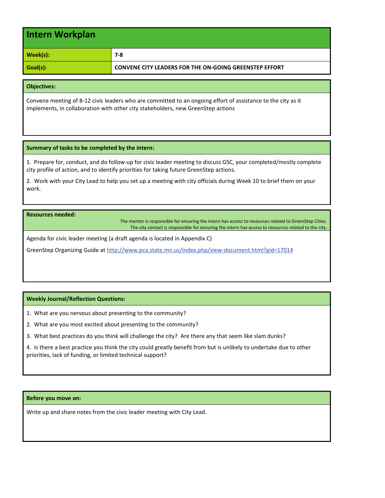| Intern Workplan |                                                               |
|-----------------|---------------------------------------------------------------|
| Week(s):        | 7-8                                                           |
| Goal(s):        | <b>CONVENE CITY LEADERS FOR THE ON-GOING GREENSTEP EFFORT</b> |

Convene meeting of 8-12 civic leaders who are committed to an ongoing effort of assistance to the city as it implements, in collaboration with other city stakeholders, new GreenStep actions

#### **Summary of tasks to be completed by the intern:**

1. Prepare for, conduct, and do follow-up for civic leader meeting to discuss GSC, your completed/mostly complete city profile of action, and to identify priorities for taking future GreenStep actions.

2. Work with your City Lead to help you set up a meeting with city officials during Week 10 to brief them on your work.

#### **Resources needed:**

The mentor is responsible for ensuring the intern has access to resources related to GreenStep Cities. The city contact is responsible for ensuring the intern has access to resources related to the city.

Agenda for civic leader meeting (a draft agenda is located in Appendix C)

GreenStep Organizing Guide at<http://www.pca.state.mn.us/index.php/view-document.html?gid=17014>

#### **Weekly Journal/Reflection Questions:**

1. What are you nervous about presenting to the community?

2. What are you most excited about presenting to the community?

3. What best practices do you think will challenge the city? Are there any that seem like slam dunks?

4. Is there a best practice you think the city could greatly benefit from but is unlikely to undertake due to other priorities, lack of funding, or limited technical support?

#### **Before you move on:**

Write up and share notes from the civic leader meeting with City Lead.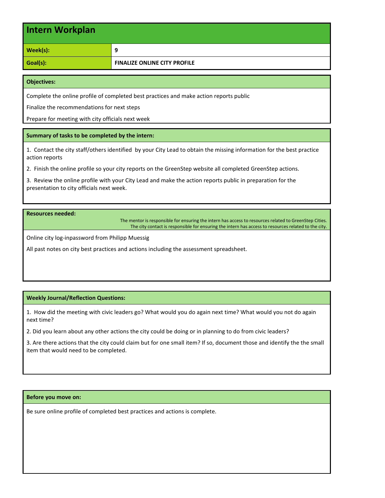| Intern Workplan |                                     |
|-----------------|-------------------------------------|
| Week(s):        | 9                                   |
| Goal(s):        | <b>FINALIZE ONLINE CITY PROFILE</b> |

Complete the online profile of completed best practices and make action reports public

Finalize the recommendations for next steps

Prepare for meeting with city officials next week

#### **Summary of tasks to be completed by the intern:**

1. Contact the city staff/others identified by your City Lead to obtain the missing information for the best practice action reports

2. Finish the online profile so your city reports on the GreenStep website all completed GreenStep actions.

3. Review the online profile with your City Lead and make the action reports public in preparation for the presentation to city officials next week.

**Resources needed:**

The mentor is responsible for ensuring the intern has access to resources related to GreenStep Cities. The city contact is responsible for ensuring the intern has access to resources related to the city.

Online city log-inpassword from Philipp Muessig

All past notes on city best practices and actions including the assessment spreadsheet.

#### **Weekly Journal/Reflection Questions:**

1. How did the meeting with civic leaders go? What would you do again next time? What would you not do again next time?

2. Did you learn about any other actions the city could be doing or in planning to do from civic leaders?

3. Are there actions that the city could claim but for one small item? If so, document those and identify the the small item that would need to be completed.

#### **Before you move on:**

Be sure online profile of completed best practices and actions is complete.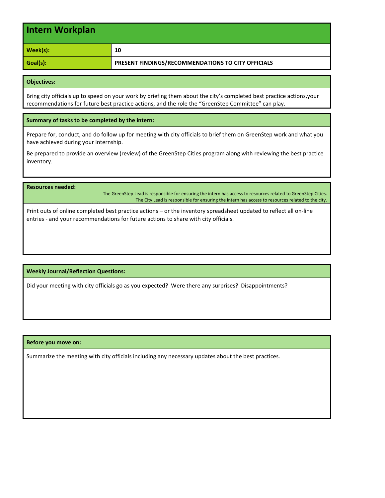| Intern Workplan |                                                    |
|-----------------|----------------------------------------------------|
| Week(s):        | 10                                                 |
| Goal(s):        | PRESENT FINDINGS/RECOMMENDATIONS TO CITY OFFICIALS |

Bring city officials up to speed on your work by briefing them about the city's completed best practice actions,your recommendations for future best practice actions, and the role the "GreenStep Committee" can play.

#### **Summary of tasks to be completed by the intern:**

Prepare for, conduct, and do follow up for meeting with city officials to brief them on GreenStep work and what you have achieved during your internship.

Be prepared to provide an overview (review) of the GreenStep Cities program along with reviewing the best practice inventory.

#### **Resources needed:**

The GreenStep Lead is responsible for ensuring the intern has access to resources related to GreenStep Cities. The City Lead is responsible for ensuring the intern has access to resources related to the city.

Print outs of online completed best practice actions – or the inventory spreadsheet updated to reflect all on-line entries - and your recommendations for future actions to share with city officials.

#### **Weekly Journal/Reflection Questions:**

Did your meeting with city officials go as you expected? Were there any surprises? Disappointments?

#### **Before you move on:**

Summarize the meeting with city officials including any necessary updates about the best practices.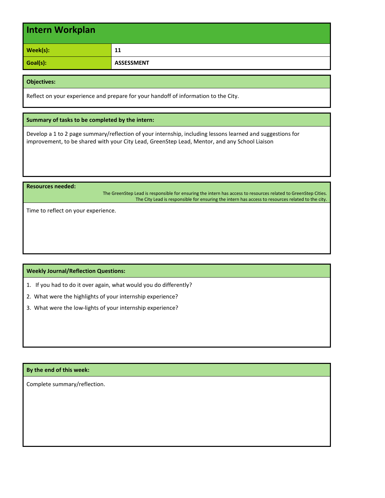| Intern Workplan |                   |
|-----------------|-------------------|
| Week(s):        | 11                |
| Goal(s):        | <b>ASSESSMENT</b> |

Reflect on your experience and prepare for your handoff of information to the City.

#### **Summary of tasks to be completed by the intern:**

Develop a 1 to 2 page summary/reflection of your internship, including lessons learned and suggestions for improvement, to be shared with your City Lead, GreenStep Lead, Mentor, and any School Liaison

**Resources needed:**

The GreenStep Lead is responsible for ensuring the intern has access to resources related to GreenStep Cities. The City Lead is responsible for ensuring the intern has access to resources related to the city.

Time to reflect on your experience.

#### **Weekly Journal/Reflection Questions:**

- 1. If you had to do it over again, what would you do differently?
- 2. What were the highlights of your internship experience?
- 3. What were the low-lights of your internship experience?

#### **By the end of this week:**

Complete summary/reflection.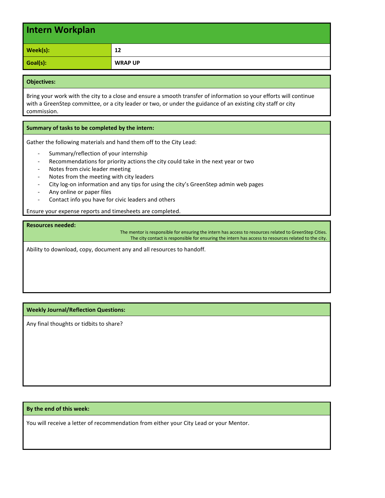| Intern Workplan |                |
|-----------------|----------------|
| Week(s):        | 12             |
| Goal(s):        | <b>WRAP UP</b> |

Bring your work with the city to a close and ensure a smooth transfer of information so your efforts will continue with a GreenStep committee, or a city leader or two, or under the guidance of an existing city staff or city commission.

#### **Summary of tasks to be completed by the intern:**

Gather the following materials and hand them off to the City Lead:

- Summary/reflection of your internship
- Recommendations for priority actions the city could take in the next year or two
- Notes from civic leader meeting
- Notes from the meeting with city leaders
- City log-on information and any tips for using the city's GreenStep admin web pages
- Any online or paper files
- Contact info you have for civic leaders and others

Ensure your expense reports and timesheets are completed.

#### **Resources needed:**

The mentor is responsible for ensuring the intern has access to resources related to GreenStep Cities. The city contact is responsible for ensuring the intern has access to resources related to the city.

Ability to download, copy, document any and all resources to handoff.

**Weekly Journal/Reflection Questions:**

Any final thoughts or tidbits to share?

#### **By the end of this week:**

You will receive a letter of recommendation from either your City Lead or your Mentor.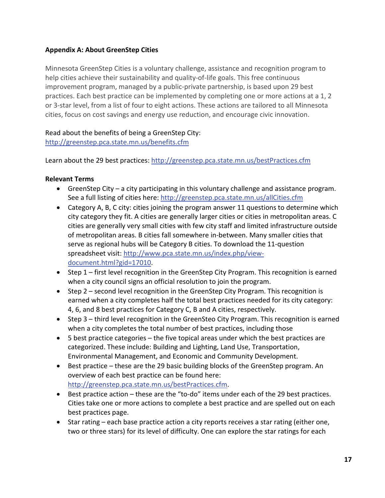## <span id="page-16-0"></span>**Appendix A: About GreenStep Cities**

Minnesota GreenStep Cities is a voluntary challenge, assistance and recognition program to help cities achieve their sustainability and quality-of-life goals. This free continuous improvement program, managed by a public-private partnership, is based upon 29 best practices. Each best practice can be implemented by completing one or more actions at a 1, 2 or 3-star level, from a list of four to eight actions. These actions are tailored to all Minnesota cities, focus on cost savings and energy use reduction, and encourage civic innovation.

## Read about the benefits of being a GreenStep City:

<http://greenstep.pca.state.mn.us/benefits.cfm>

Learn about the 29 best practices[: http://greenstep.pca.state.mn.us/bestPractices.cfm](http://greenstep.pca.state.mn.us/bestPractices.cfm)

## **Relevant Terms**

- GreenStep City a city participating in this voluntary challenge and assistance program. See a full listing of cities here:<http://greenstep.pca.state.mn.us/allCities.cfm>
- Category A, B, C city: cities joining the program answer 11 questions to determine which city category they fit. A cities are generally larger cities or cities in metropolitan areas. C cities are generally very small cities with few city staff and limited infrastructure outside of metropolitan areas. B cities fall somewhere in-between. Many smaller cities that serve as regional hubs will be Category B cities. To download the 11-question spreadsheet visit: [http://www.pca.state.mn.us/index.php/view](http://www.pca.state.mn.us/index.php/view-document.html?gid=17010)[document.html?gid=17010.](http://www.pca.state.mn.us/index.php/view-document.html?gid=17010)
- Step 1 first level recognition in the GreenStep City Program. This recognition is earned when a city council signs an official resolution to join the program.
- Step 2 second level recognition in the GreenStep City Program. This recognition is earned when a city completes half the total best practices needed for its city category: 4, 6, and 8 best practices for Category C, B and A cities, respectively.
- Step 3 third level recognition in the GreenSteo City Program. This recognition is earned when a city completes the total number of best practices, including those
- 5 best practice categories the five topical areas under which the best practices are categorized. These include: Building and Lighting, Land Use, Transportation, Environmental Management, and Economic and Community Development.
- Best practice these are the 29 basic building blocks of the GreenStep program. An overview of each best practice can be found here: [http://greenstep.pca.state.mn.us/bestPractices.cfm.](http://greenstep.pca.state.mn.us/bestPractices.cfm)
- Best practice action these are the "to-do" items under each of the 29 best practices. Cities take one or more actions to complete a best practice and are spelled out on each best practices page.
- Star rating each base practice action a city reports receives a star rating (either one, two or three stars) for its level of difficulty. One can explore the star ratings for each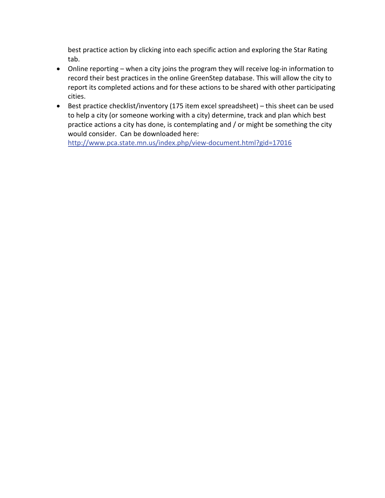best practice action by clicking into each specific action and exploring the Star Rating tab.

- Online reporting when a city joins the program they will receive log-in information to record their best practices in the online GreenStep database. This will allow the city to report its completed actions and for these actions to be shared with other participating cities.
- Best practice checklist/inventory (175 item excel spreadsheet) this sheet can be used to help a city (or someone working with a city) determine, track and plan which best practice actions a city has done, is contemplating and / or might be something the city would consider. Can be downloaded here:

<http://www.pca.state.mn.us/index.php/view-document.html?gid=17016>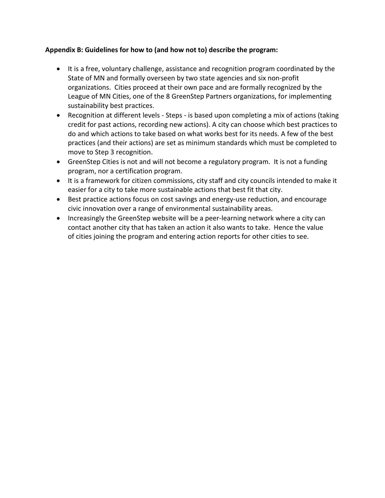## <span id="page-18-0"></span>**Appendix B: Guidelines for how to (and how not to) describe the program:**

- It is a free, voluntary challenge, assistance and recognition program coordinated by the State of MN and formally overseen by two state agencies and six non-profit organizations. Cities proceed at their own pace and are formally recognized by the League of MN Cities, one of the 8 GreenStep Partners organizations, for implementing sustainability best practices.
- Recognition at different levels Steps is based upon completing a mix of actions (taking credit for past actions, recording new actions). A city can choose which best practices to do and which actions to take based on what works best for its needs. A few of the best practices (and their actions) are set as minimum standards which must be completed to move to Step 3 recognition.
- GreenStep Cities is not and will not become a regulatory program. It is not a funding program, nor a certification program.
- It is a framework for citizen commissions, city staff and city councils intended to make it easier for a city to take more sustainable actions that best fit that city.
- Best practice actions focus on cost savings and energy-use reduction, and encourage civic innovation over a range of environmental sustainability areas.
- Increasingly the GreenStep website will be a peer-learning network where a city can contact another city that has taken an action it also wants to take. Hence the value of cities joining the program and entering action reports for other cities to see.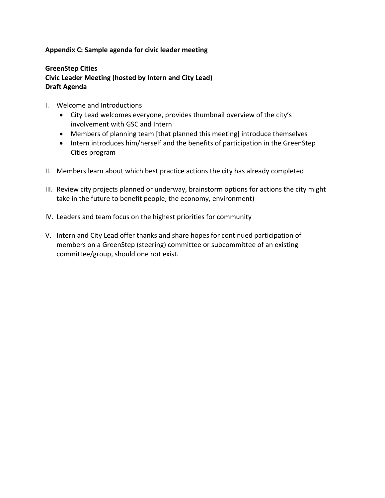## <span id="page-19-0"></span>**Appendix C: Sample agenda for civic leader meeting**

## **GreenStep Cities Civic Leader Meeting (hosted by Intern and City Lead) Draft Agenda**

- I. Welcome and Introductions
	- City Lead welcomes everyone, provides thumbnail overview of the city's involvement with GSC and Intern
	- Members of planning team [that planned this meeting] introduce themselves
	- Intern introduces him/herself and the benefits of participation in the GreenStep Cities program
- II. Members learn about which best practice actions the city has already completed
- III. Review city projects planned or underway, brainstorm options for actions the city might take in the future to benefit people, the economy, environment)
- IV. Leaders and team focus on the highest priorities for community
- V. Intern and City Lead offer thanks and share hopes for continued participation of members on a GreenStep (steering) committee or subcommittee of an existing committee/group, should one not exist.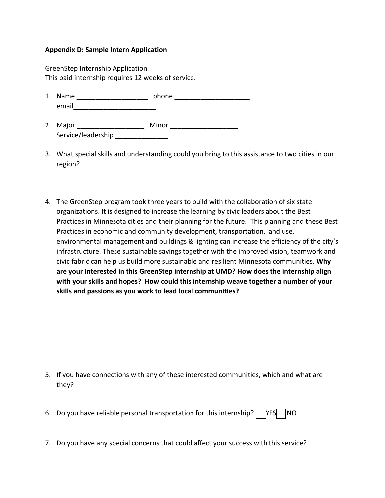## <span id="page-20-0"></span>**Appendix D: Sample Intern Application**

GreenStep Internship Application This paid internship requires 12 weeks of service.

- 1. Name \_\_\_\_\_\_\_\_\_\_\_\_\_\_\_\_\_\_\_ phone \_\_\_\_\_\_\_\_\_\_\_\_\_\_\_\_\_\_\_\_ email
- 2. Major \_\_\_\_\_\_\_\_\_\_\_\_\_\_\_\_\_\_ Minor \_\_\_\_\_\_\_\_\_\_\_\_\_\_\_\_\_\_ Service/leadership
- 3. What special skills and understanding could you bring to this assistance to two cities in our region?
- 4. The GreenStep program took three years to build with the collaboration of six state organizations. It is designed to increase the learning by civic leaders about the Best Practices in Minnesota cities and their planning for the future. This planning and these Best Practices in economic and community development, transportation, land use, environmental management and buildings & lighting can increase the efficiency of the city's infrastructure. These sustainable savings together with the improved vision, teamwork and civic fabric can help us build more sustainable and resilient Minnesota communities. **Why are your interested in this GreenStep internship at UMD? How does the internship align with your skills and hopes? How could this internship weave together a number of your skills and passions as you work to lead local communities?**

- 5. If you have connections with any of these interested communities, which and what are they?
- 6. Do you have reliable personal transportation for this internship?  $\Box$  YES NO
- 7. Do you have any special concerns that could affect your success with this service?